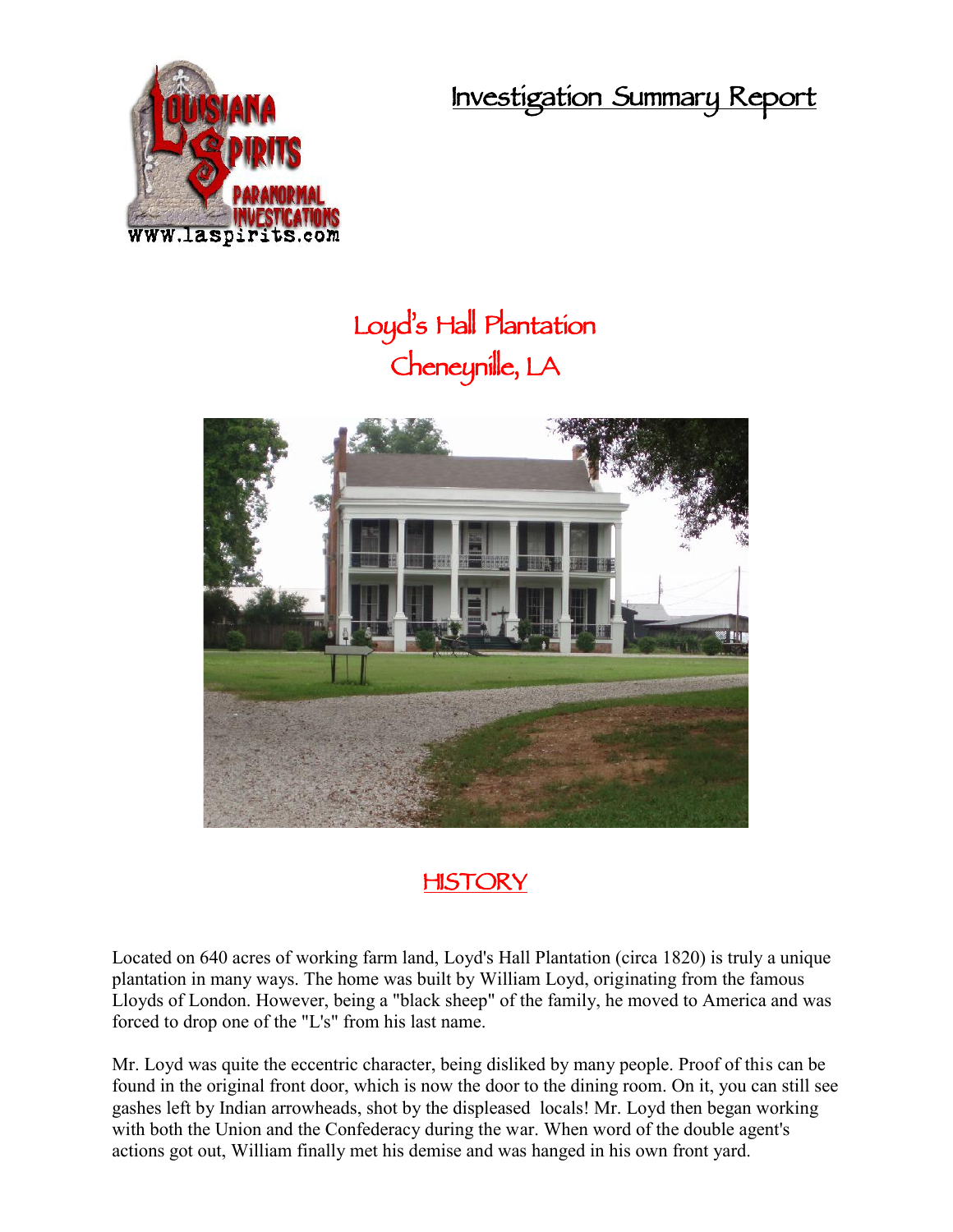**Investigation Summary Report**



## **Loyd's Hall Plantation Cheneynille, LA**





Located on 640 acres of working farm land, Loyd's Hall Plantation (circa 1820) is truly a unique plantation in many ways. The home was built by William Loyd, originating from the famous Lloyds of London. However, being a "black sheep" of the family, he moved to America and was forced to drop one of the "L's" from his last name.

Mr. Loyd was quite the eccentric character, being disliked by many people. Proof of this can be found in the original front door, which is now the door to the dining room. On it, you can still see gashes left by Indian arrowheads, shot by the displeased locals! Mr. Loyd then began working with both the Union and the Confederacy during the war. When word of the double agent's actions got out, William finally met his demise and was hanged in his own front yard.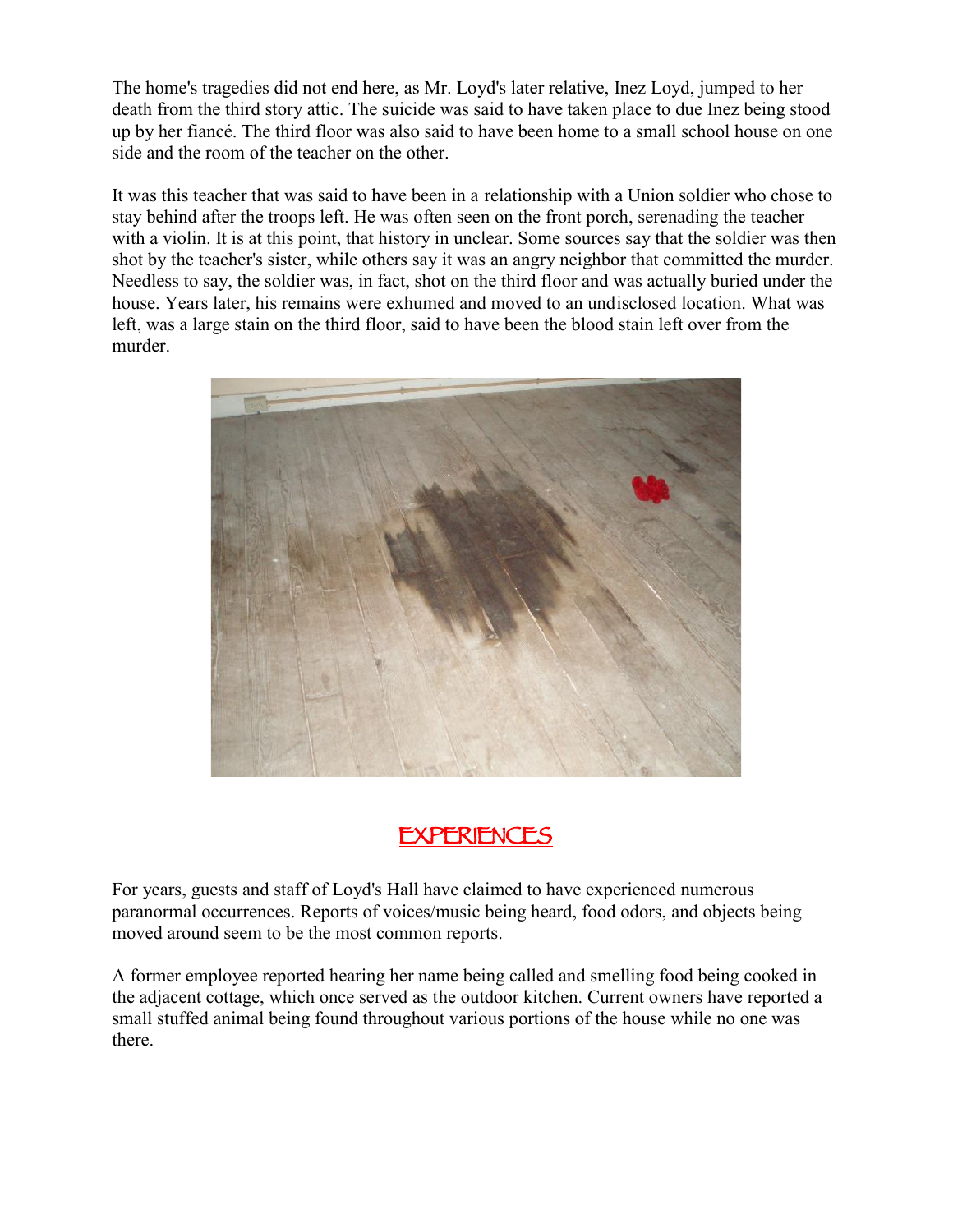The home's tragedies did not end here, as Mr. Loyd's later relative, Inez Loyd, jumped to her death from the third story attic. The suicide was said to have taken place to due Inez being stood up by her fiancé. The third floor was also said to have been home to a small school house on one side and the room of the teacher on the other.

It was this teacher that was said to have been in a relationship with a Union soldier who chose to stay behind after the troops left. He was often seen on the front porch, serenading the teacher with a violin. It is at this point, that history in unclear. Some sources say that the soldier was then shot by the teacher's sister, while others say it was an angry neighbor that committed the murder. Needless to say, the soldier was, in fact, shot on the third floor and was actually buried under the house. Years later, his remains were exhumed and moved to an undisclosed location. What was left, was a large stain on the third floor, said to have been the blood stain left over from the murder.



## **EXPERIENCES**

For years, guests and staff of Loyd's Hall have claimed to have experienced numerous paranormal occurrences. Reports of voices/music being heard, food odors, and objects being moved around seem to be the most common reports.

A former employee reported hearing her name being called and smelling food being cooked in the adjacent cottage, which once served as the outdoor kitchen. Current owners have reported a small stuffed animal being found throughout various portions of the house while no one was there.